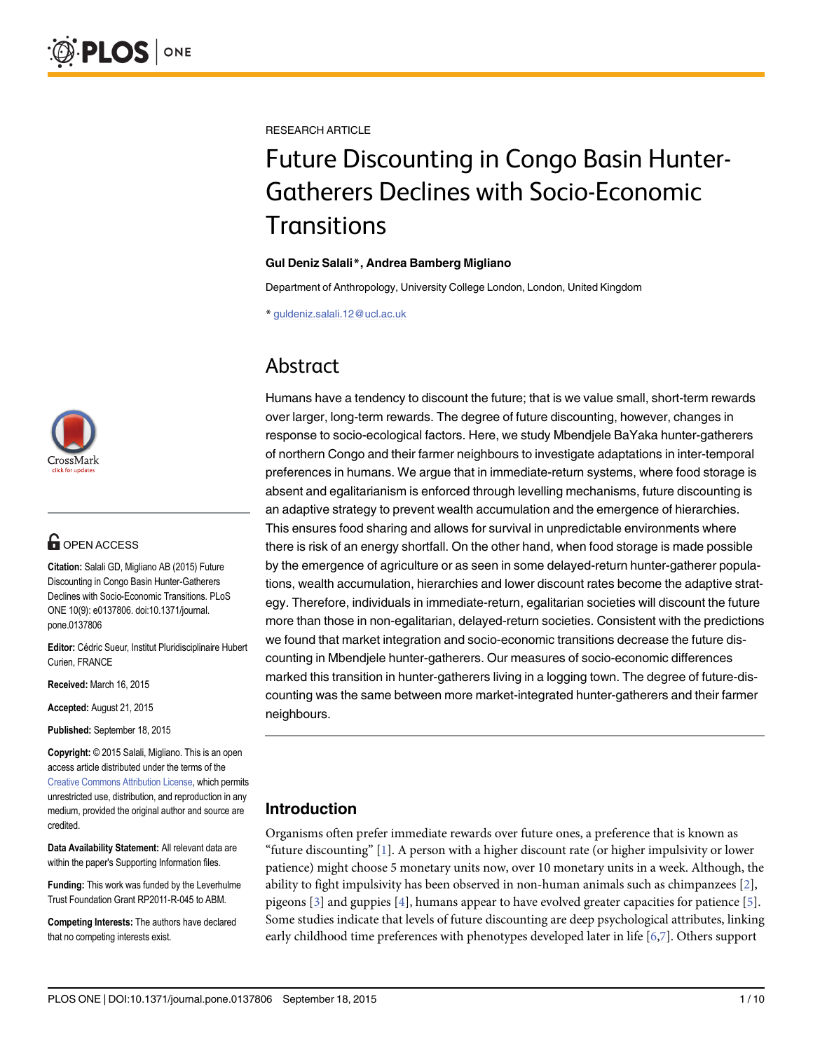

## **G** OPEN ACCESS

Citation: Salali GD, Migliano AB (2015) Future Discounting in Congo Basin Hunter-Gatherers Declines with Socio-Economic Transitions. PLoS ONE 10(9): e0137806. doi:10.1371/journal. pone.0137806

Editor: Cédric Sueur, Institut Pluridisciplinaire Hubert Curien, FRANCE

Received: March 16, 2015

Accepted: August 21, 2015

Published: September 18, 2015

Copyright: © 2015 Salali, Migliano. This is an open access article distributed under the terms of the [Creative Commons Attribution License,](http://creativecommons.org/licenses/by/4.0/) which permits unrestricted use, distribution, and reproduction in any medium, provided the original author and source are credited.

Data Availability Statement: All relevant data are within the paper's Supporting Information files.

Funding: This work was funded by the Leverhulme Trust Foundation Grant RP2011-R-045 to ABM.

Competing Interests: The authors have declared that no competing interests exist.

<span id="page-0-0"></span>RESEARCH ARTICLE

# Future Discounting in Congo Basin Hunter-**Transitions**

# Transitions Gul Deniz Salali\*, Andrea Bamberg Migliano

Department of Anthropology, University College London, London, United Kingdom

\* guldeniz.salali.12@ucl.ac.uk

### Abstract

Abstract Humans have a tendency to discount the future; that is we value small, short-term rewards over larger, long-term rewards. The degree of future discounting, however, changes in response to socio-ecological factors. Here, we study Mbendjele BaYaka hunter-gatherers of northern Congo and their farmer neighbours to investigate adaptations in inter-temporal preferences in humans. We argue that in immediate-return systems, where food storage is absent and egalitarianism is enforced through levelling mechanisms, future discounting is an adaptive strategy to prevent wealth accumulation and the emergence of hierarchies. This ensures food sharing and allows for survival in unpredictable environments where there is risk of an energy shortfall. On the other hand, when food storage is made possible by the emergence of agriculture or as seen in some delayed-return hunter-gatherer populations, wealth accumulation, hierarchies and lower discount rates become the adaptive strategy. Therefore, individuals in immediate-return, egalitarian societies will discount the future more than those in non-egalitarian, delayed-return societies. Consistent with the predictions we found that market integration and socio-economic transitions decrease the future discounting in Mbendjele hunter-gatherers. Our measures of socio-economic differences marked this transition in hunter-gatherers living in a logging town. The degree of future-discounting was the same between more market-integrated hunter-gatherers and their farmer neighbours.

#### Introduction

Organisms often prefer immediate rewards over future ones, a preference that is known as "future discounting"  $[1]$  $[1]$ . A person with a higher discount rate (or higher impulsivity or lower patience) might choose 5 monetary units now, over 10 monetary units in a week. Although, the ability to fight impulsivity has been observed in non-human animals such as chimpanzees [\[2](#page-7-0)], pigeons  $[3]$  $[3]$  and guppies  $[4]$  $[4]$ , humans appear to have evolved greater capacities for patience  $[5]$  $[5]$  $[5]$ . Some studies indicate that levels of future discounting are deep psychological attributes, linking early childhood time preferences with phenotypes developed later in life [\[6,7\]](#page-7-0). Others support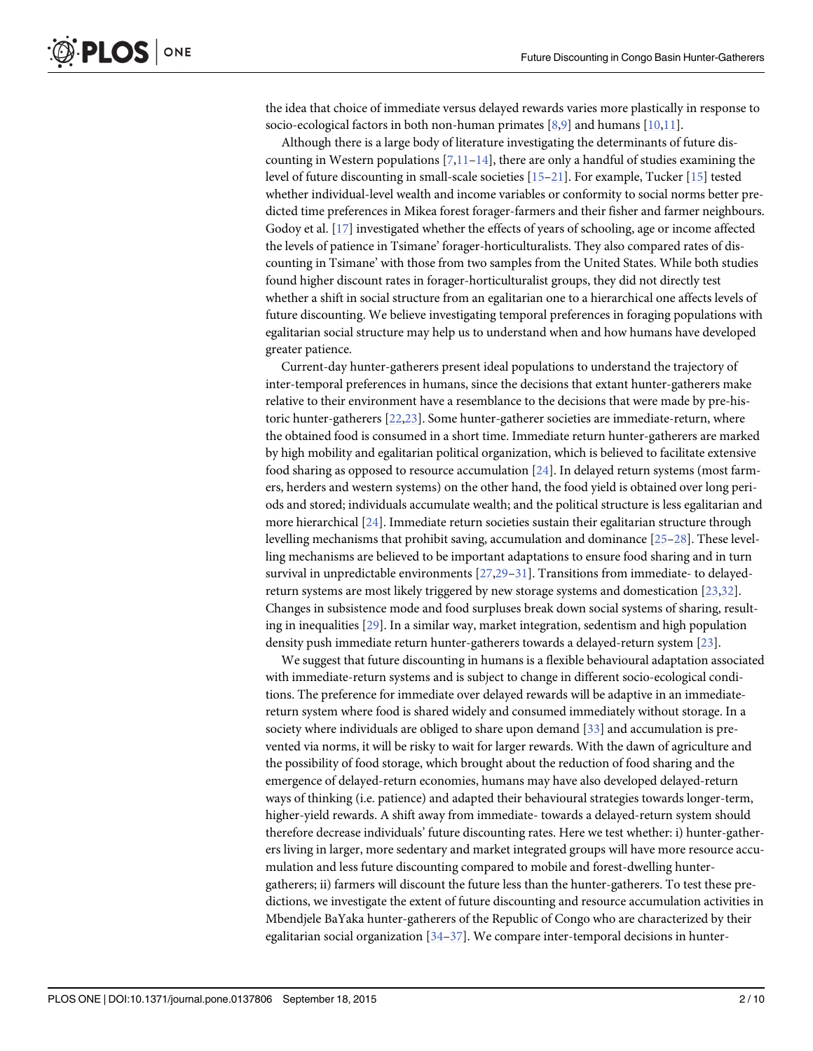<span id="page-1-0"></span>the idea that choice of immediate versus delayed rewards varies more plastically in response to socio-ecological factors in both non-human primates  $[8,9]$  $[8,9]$  $[8,9]$  $[8,9]$  $[8,9]$  and humans  $[10,11]$  $[10,11]$  $[10,11]$ .

Although there is a large body of literature investigating the determinants of future discounting in Western populations  $[7,11-14]$  $[7,11-14]$  $[7,11-14]$  $[7,11-14]$ , there are only a handful of studies examining the level of future discounting in small-scale societies [\[15](#page-8-0)–[21\]](#page-8-0). For example, Tucker [\[15\]](#page-8-0) tested whether individual-level wealth and income variables or conformity to social norms better predicted time preferences in Mikea forest forager-farmers and their fisher and farmer neighbours. Godoy et al. [\[17\]](#page-8-0) investigated whether the effects of years of schooling, age or income affected the levels of patience in Tsimane' forager-horticulturalists. They also compared rates of discounting in Tsimane' with those from two samples from the United States. While both studies found higher discount rates in forager-horticulturalist groups, they did not directly test whether a shift in social structure from an egalitarian one to a hierarchical one affects levels of future discounting. We believe investigating temporal preferences in foraging populations with egalitarian social structure may help us to understand when and how humans have developed greater patience.

Current-day hunter-gatherers present ideal populations to understand the trajectory of inter-temporal preferences in humans, since the decisions that extant hunter-gatherers make relative to their environment have a resemblance to the decisions that were made by pre-historic hunter-gatherers [\[22,23\]](#page-8-0). Some hunter-gatherer societies are immediate-return, where the obtained food is consumed in a short time. Immediate return hunter-gatherers are marked by high mobility and egalitarian political organization, which is believed to facilitate extensive food sharing as opposed to resource accumulation [\[24\]](#page-8-0). In delayed return systems (most farmers, herders and western systems) on the other hand, the food yield is obtained over long periods and stored; individuals accumulate wealth; and the political structure is less egalitarian and more hierarchical [[24](#page-8-0)]. Immediate return societies sustain their egalitarian structure through levelling mechanisms that prohibit saving, accumulation and dominance [\[25](#page-8-0)–[28](#page-8-0)]. These levelling mechanisms are believed to be important adaptations to ensure food sharing and in turn survival in unpredictable environments  $[27,29-31]$  $[27,29-31]$  $[27,29-31]$ . Transitions from immediate- to delayedreturn systems are most likely triggered by new storage systems and domestication [\[23,32\]](#page-8-0). Changes in subsistence mode and food surpluses break down social systems of sharing, resulting in inequalities [\[29\]](#page-8-0). In a similar way, market integration, sedentism and high population density push immediate return hunter-gatherers towards a delayed-return system [\[23\]](#page-8-0).

We suggest that future discounting in humans is a flexible behavioural adaptation associated with immediate-return systems and is subject to change in different socio-ecological conditions. The preference for immediate over delayed rewards will be adaptive in an immediatereturn system where food is shared widely and consumed immediately without storage. In a society where individuals are obliged to share upon demand [\[33](#page-8-0)] and accumulation is prevented via norms, it will be risky to wait for larger rewards. With the dawn of agriculture and the possibility of food storage, which brought about the reduction of food sharing and the emergence of delayed-return economies, humans may have also developed delayed-return ways of thinking (i.e. patience) and adapted their behavioural strategies towards longer-term, higher-yield rewards. A shift away from immediate- towards a delayed-return system should therefore decrease individuals' future discounting rates. Here we test whether: i) hunter-gatherers living in larger, more sedentary and market integrated groups will have more resource accumulation and less future discounting compared to mobile and forest-dwelling huntergatherers; ii) farmers will discount the future less than the hunter-gatherers. To test these predictions, we investigate the extent of future discounting and resource accumulation activities in Mbendjele BaYaka hunter-gatherers of the Republic of Congo who are characterized by their egalitarian social organization  $[34-37]$  $[34-37]$  $[34-37]$ . We compare inter-temporal decisions in hunter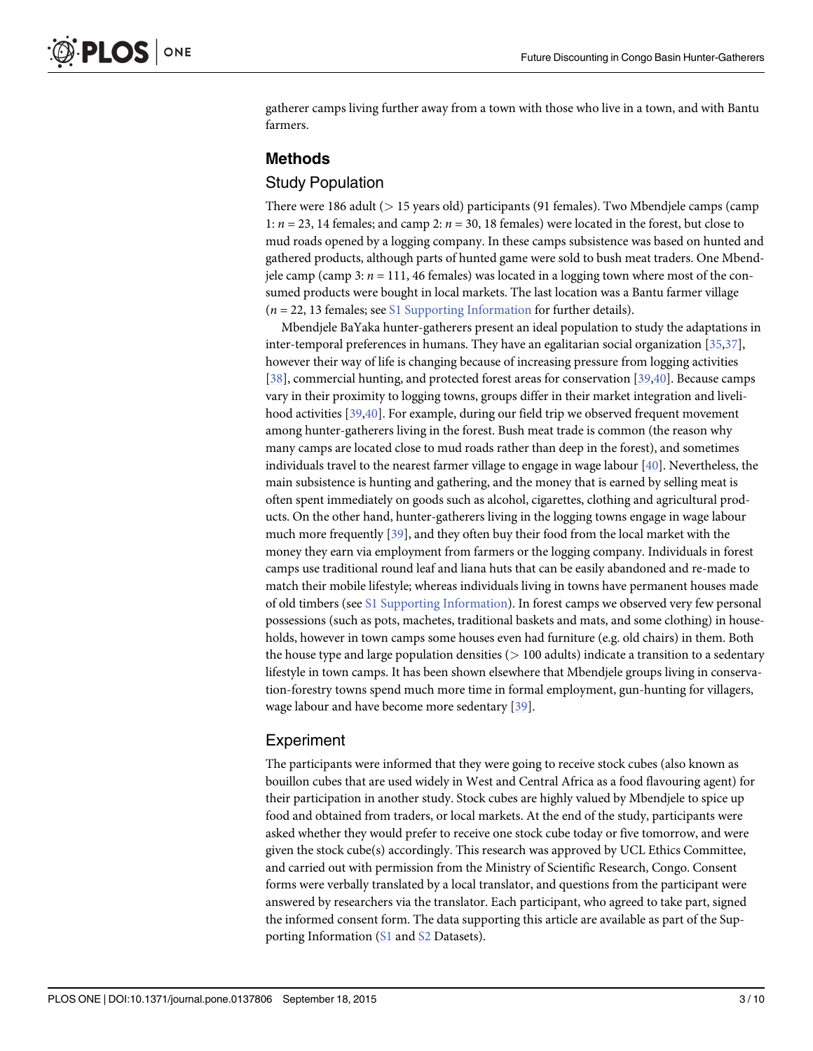<span id="page-2-0"></span>gatherer camps living further away from a town with those who live in a town, and with Bantu farmers.

#### Methods

#### Study Population

There were 186 adult ( $> 15$  years old) participants (91 females). Two Mbendjele camps (camp 1:  $n = 23$ , 14 females; and camp 2:  $n = 30$ , 18 females) were located in the forest, but close to mud roads opened by a logging company. In these camps subsistence was based on hunted and gathered products, although parts of hunted game were sold to bush meat traders. One Mbendjele camp (camp 3:  $n = 111$ , 46 females) was located in a logging town where most of the consumed products were bought in local markets. The last location was a Bantu farmer village  $(n = 22, 13$  females; see [S1 Supporting Information](#page-7-0) for further details).

Mbendjele BaYaka hunter-gatherers present an ideal population to study the adaptations in inter-temporal preferences in humans. They have an egalitarian social organization [\[35,37\]](#page-8-0), however their way of life is changing because of increasing pressure from logging activities [\[38](#page-9-0)], commercial hunting, and protected forest areas for conservation [[39,40\]](#page-9-0). Because camps vary in their proximity to logging towns, groups differ in their market integration and livelihood activities [\[39,40\]](#page-9-0). For example, during our field trip we observed frequent movement among hunter-gatherers living in the forest. Bush meat trade is common (the reason why many camps are located close to mud roads rather than deep in the forest), and sometimes individuals travel to the nearest farmer village to engage in wage labour  $[40]$  $[40]$ . Nevertheless, the main subsistence is hunting and gathering, and the money that is earned by selling meat is often spent immediately on goods such as alcohol, cigarettes, clothing and agricultural products. On the other hand, hunter-gatherers living in the logging towns engage in wage labour much more frequently [[39](#page-9-0)], and they often buy their food from the local market with the money they earn via employment from farmers or the logging company. Individuals in forest camps use traditional round leaf and liana huts that can be easily abandoned and re-made to match their mobile lifestyle; whereas individuals living in towns have permanent houses made of old timbers (see [S1 Supporting Information\)](#page-7-0). In forest camps we observed very few personal possessions (such as pots, machetes, traditional baskets and mats, and some clothing) in households, however in town camps some houses even had furniture (e.g. old chairs) in them. Both the house type and large population densities ( $> 100$  adults) indicate a transition to a sedentary lifestyle in town camps. It has been shown elsewhere that Mbendjele groups living in conservation-forestry towns spend much more time in formal employment, gun-hunting for villagers, wage labour and have become more sedentary [[39](#page-9-0)].

#### **Experiment**

The participants were informed that they were going to receive stock cubes (also known as bouillon cubes that are used widely in West and Central Africa as a food flavouring agent) for their participation in another study. Stock cubes are highly valued by Mbendjele to spice up food and obtained from traders, or local markets. At the end of the study, participants were asked whether they would prefer to receive one stock cube today or five tomorrow, and were given the stock cube(s) accordingly. This research was approved by UCL Ethics Committee, and carried out with permission from the Ministry of Scientific Research, Congo. Consent forms were verbally translated by a local translator, and questions from the participant were answered by researchers via the translator. Each participant, who agreed to take part, signed the informed consent form. The data supporting this article are available as part of the Sup-porting Information [\(S1](#page-7-0) and [S2](#page-7-0) Datasets).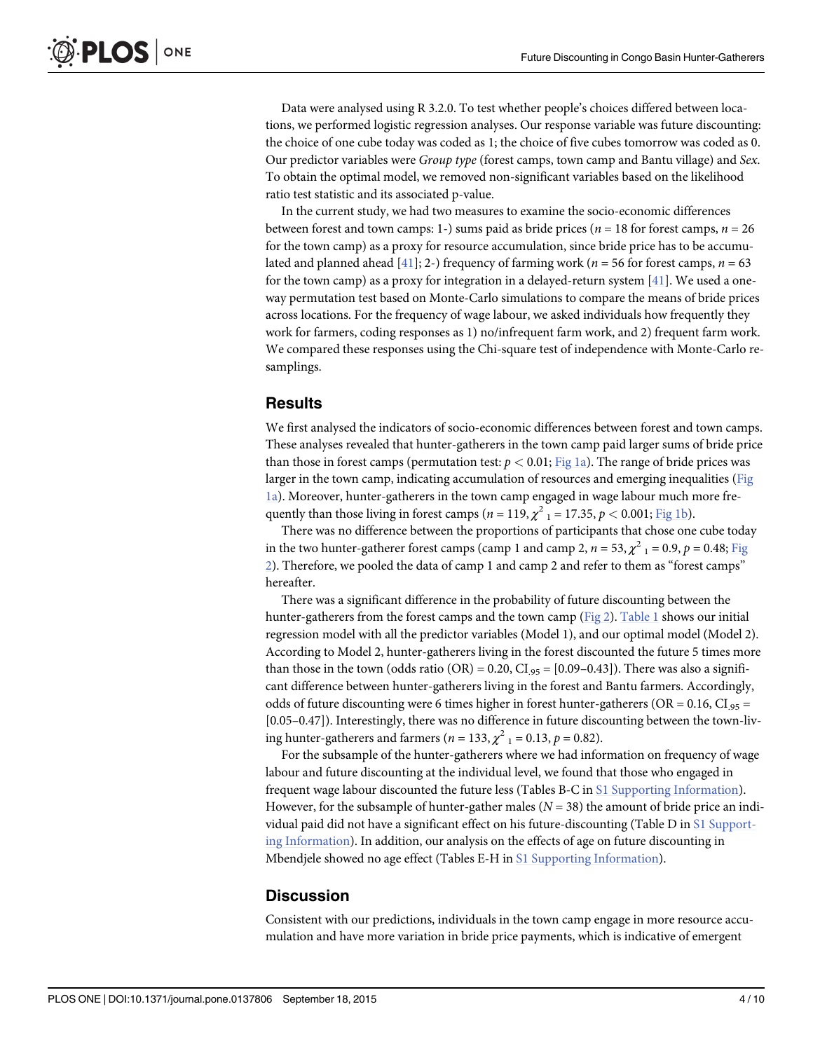<span id="page-3-0"></span>Data were analysed using R 3.2.0. To test whether people's choices differed between locations, we performed logistic regression analyses. Our response variable was future discounting: the choice of one cube today was coded as 1; the choice of five cubes tomorrow was coded as 0. Our predictor variables were Group type (forest camps, town camp and Bantu village) and Sex. To obtain the optimal model, we removed non-significant variables based on the likelihood ratio test statistic and its associated p-value.

In the current study, we had two measures to examine the socio-economic differences between forest and town camps: 1-) sums paid as bride prices ( $n = 18$  for forest camps,  $n = 26$ for the town camp) as a proxy for resource accumulation, since bride price has to be accumulated and planned ahead  $[41]$ ; 2-) frequency of farming work (*n* = 56 for forest camps, *n* = 63 for the town camp) as a proxy for integration in a delayed-return system  $[41]$ . We used a oneway permutation test based on Monte-Carlo simulations to compare the means of bride prices across locations. For the frequency of wage labour, we asked individuals how frequently they work for farmers, coding responses as 1) no/infrequent farm work, and 2) frequent farm work. We compared these responses using the Chi-square test of independence with Monte-Carlo resamplings.

#### **Results**

We first analysed the indicators of socio-economic differences between forest and town camps. These analyses revealed that hunter-gatherers in the town camp paid larger sums of bride price than those in forest camps (permutation test:  $p < 0.01$ ; [Fig 1a\)](#page-4-0). The range of bride prices was larger in the town camp, indicating accumulation of resources and emerging inequalities ([Fig](#page-4-0) [1a](#page-4-0)). Moreover, hunter-gatherers in the town camp engaged in wage labour much more frequently than those living in forest camps ( $n = 119$ ,  $\chi^2$ <sub>1</sub> = 17.35,  $p < 0.001$ ; <u>[Fig 1b](#page-4-0)</u>).

There was no difference between the proportions of participants that chose one cube today in the two hunter-gatherer forest camps (camp 1 and camp 2,  $n = 53, \chi^2$   $_1 = 0.9, p = 0.48; \frac{\text{Fig}}{\text{Fig}}$  $_1 = 0.9, p = 0.48; \frac{\text{Fig}}{\text{Fig}}$  $_1 = 0.9, p = 0.48; \frac{\text{Fig}}{\text{Fig}}$ [2\)](#page-5-0). Therefore, we pooled the data of camp 1 and camp 2 and refer to them as "forest camps" hereafter.

There was a significant difference in the probability of future discounting between the hunter-gatherers from the forest camps and the town camp [\(Fig 2](#page-5-0)). [Table 1](#page-6-0) shows our initial regression model with all the predictor variables (Model 1), and our optimal model (Model 2). According to Model 2, hunter-gatherers living in the forest discounted the future 5 times more than those in the town (odds ratio (OR) = 0.20, CI. $_{.95}$  = [0.09–0.43]). There was also a significant difference between hunter-gatherers living in the forest and Bantu farmers. Accordingly, odds of future discounting were 6 times higher in forest hunter-gatherers (OR = 0.16, CI  $_{95}$  = [0.05–0.47]). Interestingly, there was no difference in future discounting between the town-living hunter-gatherers and farmers ( $n = 133, \chi^2_{11} = 0.13, p = 0.82$ ).

For the subsample of the hunter-gatherers where we had information on frequency of wage labour and future discounting at the individual level, we found that those who engaged in frequent wage labour discounted the future less (Tables B-C in [S1 Supporting Information](#page-7-0)). However, for the subsample of hunter-gather males ( $N = 38$ ) the amount of bride price an individual paid did not have a significant effect on his future-discounting (Table D in [S1 Support](#page-7-0)[ing Information\)](#page-7-0). In addition, our analysis on the effects of age on future discounting in Mbendjele showed no age effect (Tables E-H in [S1 Supporting Information](#page-7-0)).

#### **Discussion**

Consistent with our predictions, individuals in the town camp engage in more resource accumulation and have more variation in bride price payments, which is indicative of emergent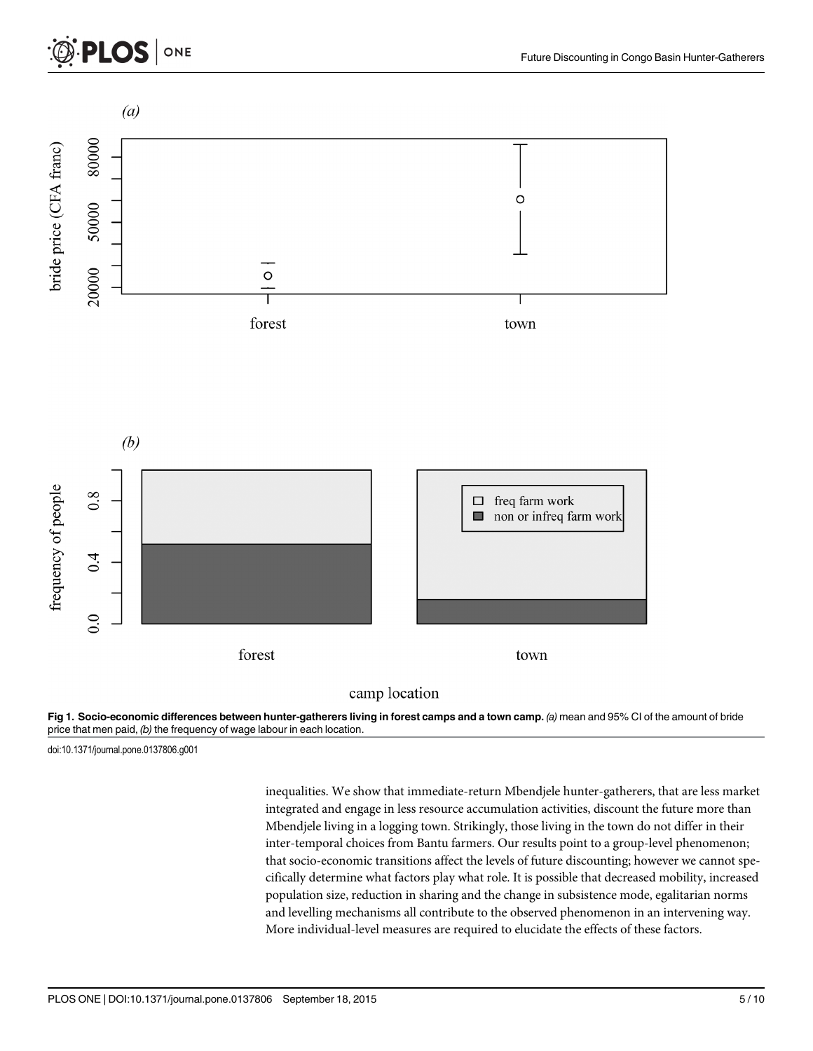#### <span id="page-4-0"></span>ONE **PLOS I**





doi:10.1371/journal.pone.0137806.g001

inequalities. We show that immediate-return Mbendjele hunter-gatherers, that are less market integrated and engage in less resource accumulation activities, discount the future more than Mbendjele living in a logging town. Strikingly, those living in the town do not differ in their inter-temporal choices from Bantu farmers. Our results point to a group-level phenomenon; that socio-economic transitions affect the levels of future discounting; however we cannot specifically determine what factors play what role. It is possible that decreased mobility, increased population size, reduction in sharing and the change in subsistence mode, egalitarian norms and levelling mechanisms all contribute to the observed phenomenon in an intervening way. More individual-level measures are required to elucidate the effects of these factors.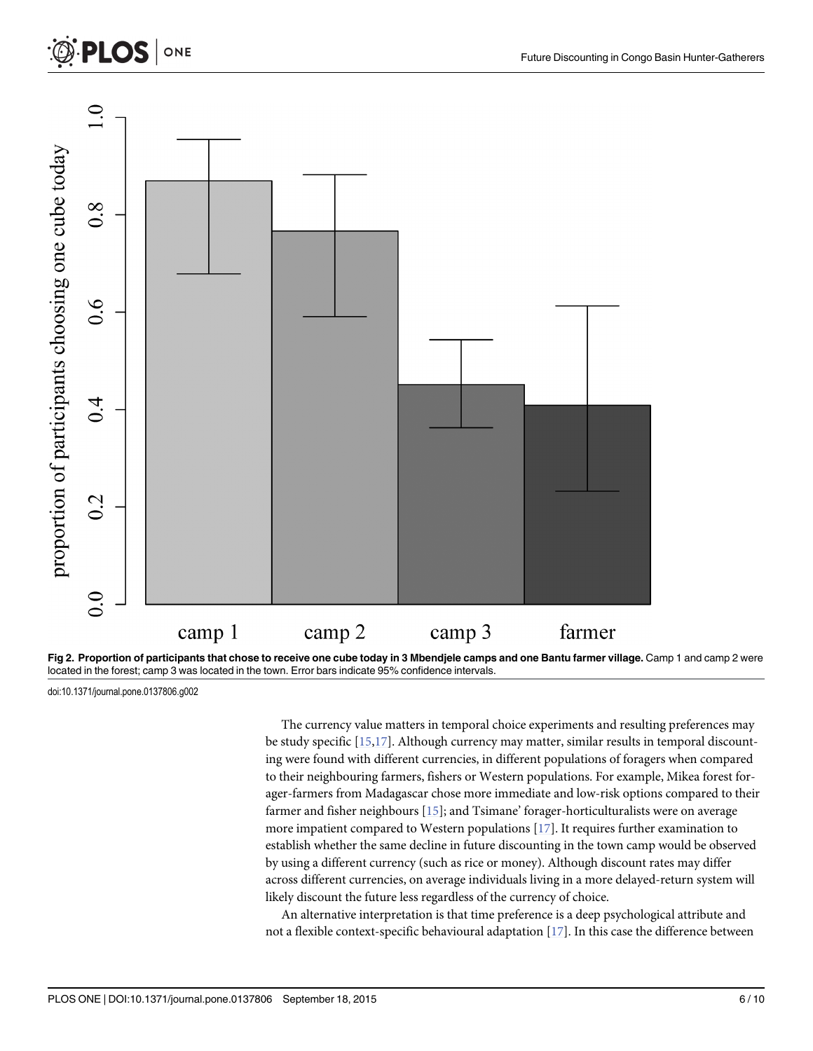<span id="page-5-0"></span>

[Fig 2. P](#page-3-0)roportion of participants that chose to receive one cube today in 3 Mbendjele camps and one Bantu farmer village. Camp 1 and camp 2 were located in the forest; camp 3 was located in the town. Error bars indicate 95% confidence intervals.

doi:10.1371/journal.pone.0137806.g002

The currency value matters in temporal choice experiments and resulting preferences may be study specific [\[15,17\]](#page-8-0). Although currency may matter, similar results in temporal discounting were found with different currencies, in different populations of foragers when compared to their neighbouring farmers, fishers or Western populations. For example, Mikea forest forager-farmers from Madagascar chose more immediate and low-risk options compared to their farmer and fisher neighbours [\[15\]](#page-8-0); and Tsimane' forager-horticulturalists were on average more impatient compared to Western populations  $[17]$ . It requires further examination to establish whether the same decline in future discounting in the town camp would be observed by using a different currency (such as rice or money). Although discount rates may differ across different currencies, on average individuals living in a more delayed-return system will likely discount the future less regardless of the currency of choice.

An alternative interpretation is that time preference is a deep psychological attribute and not a flexible context-specific behavioural adaptation [\[17\]](#page-8-0). In this case the difference between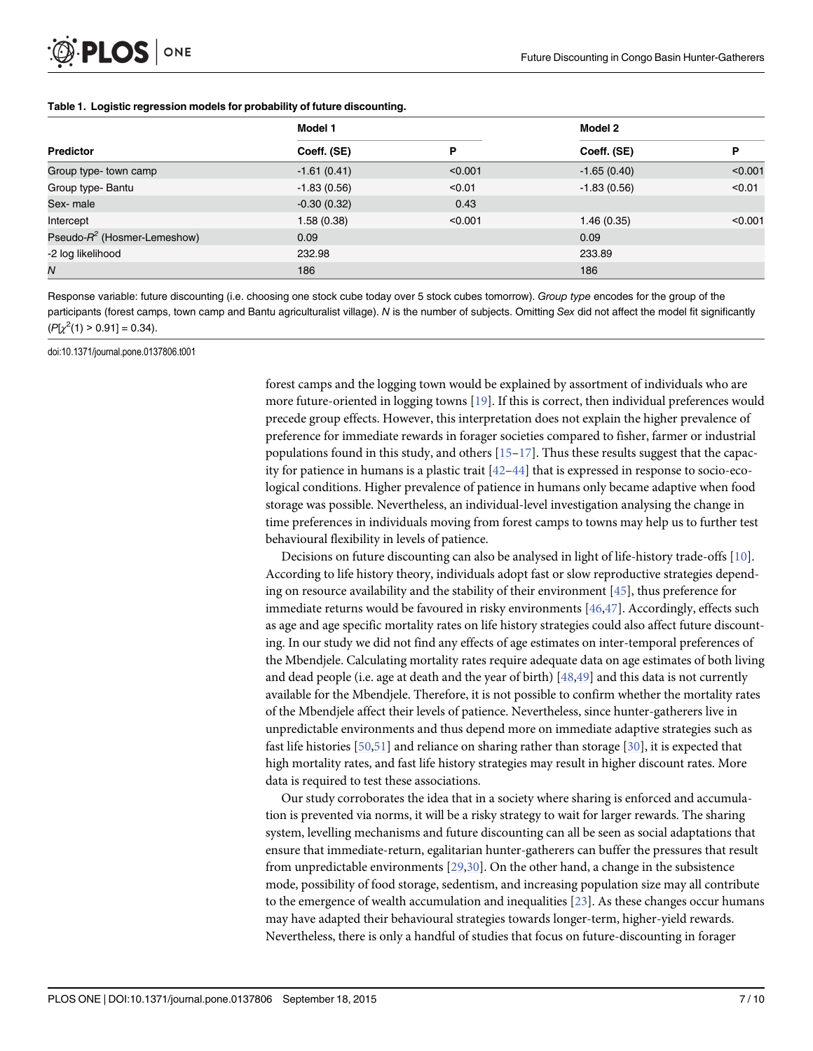#### <span id="page-6-0"></span>[Table 1.](#page-3-0) Logistic regression models for probability of future discounting.

| <b>Predictor</b>                | Model 1       |         | Model 2       |         |
|---------------------------------|---------------|---------|---------------|---------|
|                                 | Coeff. (SE)   | P       | Coeff. (SE)   | Р       |
| Group type- town camp           | $-1.61(0.41)$ | < 0.001 | $-1.65(0.40)$ | < 0.001 |
| Group type- Bantu               | $-1.83(0.56)$ | < 0.01  | $-1.83(0.56)$ | < 0.01  |
| Sex- male                       | $-0.30(0.32)$ | 0.43    |               |         |
| Intercept                       | 1.58 (0.38)   | < 0.001 | 1.46 (0.35)   | < 0.001 |
| Pseudo- $R^2$ (Hosmer-Lemeshow) | 0.09          |         | 0.09          |         |
| -2 log likelihood               | 232.98        |         | 233.89        |         |
| $\overline{N}$                  | 186           |         | 186           |         |

Response variable: future discounting (i.e. choosing one stock cube today over 5 stock cubes tomorrow). Group type encodes for the group of the participants (forest camps, town camp and Bantu agriculturalist village). N is the number of subjects. Omitting Sex did not affect the model fit significantly  $(P[\chi^2(1) > 0.91] = 0.34)$ .

doi:10.1371/journal.pone.0137806.t001

forest camps and the logging town would be explained by assortment of individuals who are more future-oriented in logging towns [[19](#page-8-0)]. If this is correct, then individual preferences would precede group effects. However, this interpretation does not explain the higher prevalence of preference for immediate rewards in forager societies compared to fisher, farmer or industrial populations found in this study, and others  $[15-17]$  $[15-17]$  $[15-17]$  $[15-17]$ . Thus these results suggest that the capacity for patience in humans is a plastic trait  $[42-44]$  $[42-44]$  $[42-44]$  $[42-44]$  that is expressed in response to socio-ecological conditions. Higher prevalence of patience in humans only became adaptive when food storage was possible. Nevertheless, an individual-level investigation analysing the change in time preferences in individuals moving from forest camps to towns may help us to further test behavioural flexibility in levels of patience.

Decisions on future discounting can also be analysed in light of life-history trade-offs [\[10\]](#page-7-0). According to life history theory, individuals adopt fast or slow reproductive strategies depending on resource availability and the stability of their environment [[45](#page-9-0)], thus preference for immediate returns would be favoured in risky environments [[46,47](#page-9-0)]. Accordingly, effects such as age and age specific mortality rates on life history strategies could also affect future discounting. In our study we did not find any effects of age estimates on inter-temporal preferences of the Mbendjele. Calculating mortality rates require adequate data on age estimates of both living and dead people (i.e. age at death and the year of birth)  $[48,49]$  $[48,49]$  $[48,49]$  and this data is not currently available for the Mbendjele. Therefore, it is not possible to confirm whether the mortality rates of the Mbendjele affect their levels of patience. Nevertheless, since hunter-gatherers live in unpredictable environments and thus depend more on immediate adaptive strategies such as fast life histories [[50](#page-9-0),[51](#page-9-0)] and reliance on sharing rather than storage [[30](#page-8-0)], it is expected that high mortality rates, and fast life history strategies may result in higher discount rates. More data is required to test these associations.

Our study corroborates the idea that in a society where sharing is enforced and accumulation is prevented via norms, it will be a risky strategy to wait for larger rewards. The sharing system, levelling mechanisms and future discounting can all be seen as social adaptations that ensure that immediate-return, egalitarian hunter-gatherers can buffer the pressures that result from unpredictable environments  $[29,30]$  $[29,30]$  $[29,30]$  $[29,30]$  $[29,30]$ . On the other hand, a change in the subsistence mode, possibility of food storage, sedentism, and increasing population size may all contribute to the emergence of wealth accumulation and inequalities [[23\]](#page-8-0). As these changes occur humans may have adapted their behavioural strategies towards longer-term, higher-yield rewards. Nevertheless, there is only a handful of studies that focus on future-discounting in forager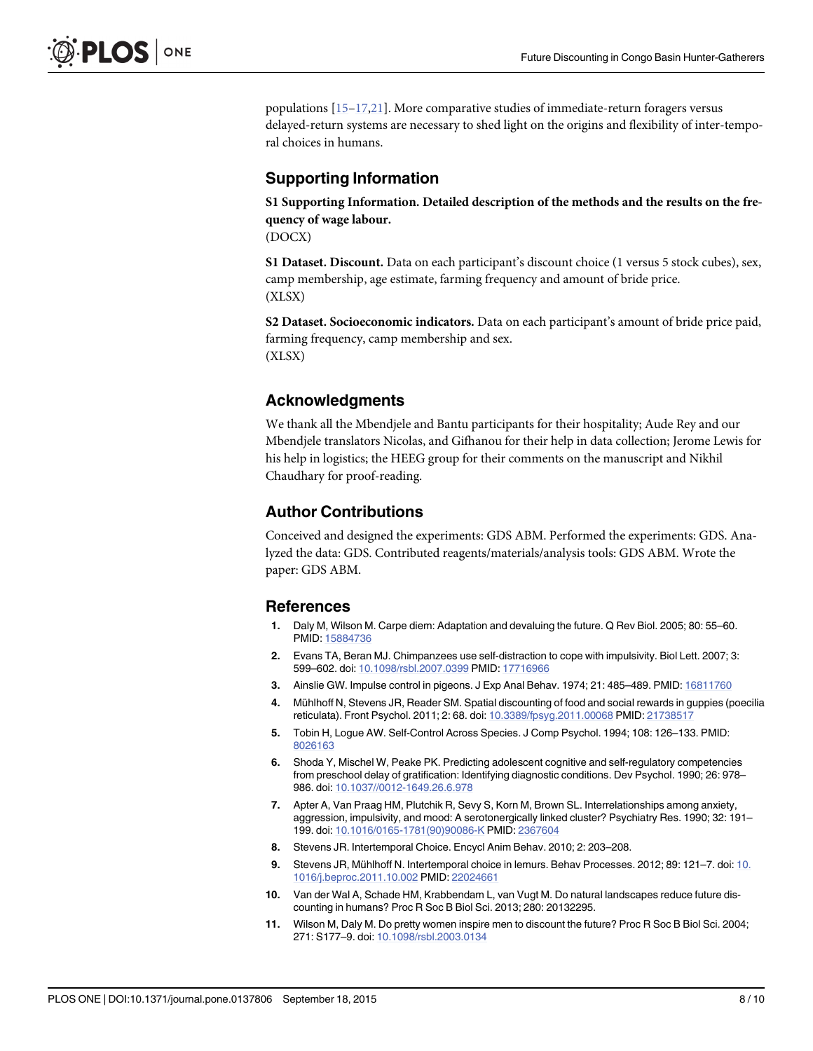<span id="page-7-0"></span>populations  $[15-17,21]$  $[15-17,21]$  $[15-17,21]$  $[15-17,21]$ . More comparative studies of immediate-return foragers versus delayed-return systems are necessary to shed light on the origins and flexibility of inter-temporal choices in humans.

#### Supporting Information

[S1 Supporting Information.](http://www.plosone.org/article/fetchSingleRepresentation.action?uri=info:doi/10.1371/journal.pone.0137806.s001) Detailed description of the methods and the results on the frequency of wage labour. (DOCX)

[S1 Dataset.](http://www.plosone.org/article/fetchSingleRepresentation.action?uri=info:doi/10.1371/journal.pone.0137806.s002) Discount. Data on each participant's discount choice (1 versus 5 stock cubes), sex, camp membership, age estimate, farming frequency and amount of bride price. (XLSX)

[S2 Dataset.](http://www.plosone.org/article/fetchSingleRepresentation.action?uri=info:doi/10.1371/journal.pone.0137806.s003) Socioeconomic indicators. Data on each participant's amount of bride price paid, farming frequency, camp membership and sex. (XLSX)

#### Acknowledgments

We thank all the Mbendjele and Bantu participants for their hospitality; Aude Rey and our Mbendjele translators Nicolas, and Gifhanou for their help in data collection; Jerome Lewis for his help in logistics; the HEEG group for their comments on the manuscript and Nikhil Chaudhary for proof-reading.

#### Author Contributions

Conceived and designed the experiments: GDS ABM. Performed the experiments: GDS. Analyzed the data: GDS. Contributed reagents/materials/analysis tools: GDS ABM. Wrote the paper: GDS ABM.

#### References

- [1.](#page-0-0) Daly M, Wilson M. Carpe diem: Adaptation and devaluing the future. Q Rev Biol. 2005; 80: 55–60. PMID: [15884736](http://www.ncbi.nlm.nih.gov/pubmed/15884736)
- [2.](#page-0-0) Evans TA, Beran MJ. Chimpanzees use self-distraction to cope with impulsivity. Biol Lett. 2007; 3: 599–602. doi: [10.1098/rsbl.2007.0399](http://dx.doi.org/10.1098/rsbl.2007.0399) PMID: [17716966](http://www.ncbi.nlm.nih.gov/pubmed/17716966)
- [3.](#page-0-0) Ainslie GW. Impulse control in pigeons. J Exp Anal Behav. 1974; 21: 485-489. PMID: [16811760](http://www.ncbi.nlm.nih.gov/pubmed/16811760)
- [4.](#page-0-0) Mühlhoff N, Stevens JR, Reader SM. Spatial discounting of food and social rewards in guppies (poecilia reticulata). Front Psychol. 2011; 2: 68. doi: [10.3389/fpsyg.2011.00068](http://dx.doi.org/10.3389/fpsyg.2011.00068) PMID: [21738517](http://www.ncbi.nlm.nih.gov/pubmed/21738517)
- [5.](#page-0-0) Tobin H, Logue AW. Self-Control Across Species. J Comp Psychol. 1994; 108: 126–133. PMID: [8026163](http://www.ncbi.nlm.nih.gov/pubmed/8026163)
- [6.](#page-0-0) Shoda Y, Mischel W, Peake PK. Predicting adolescent cognitive and self-regulatory competencies from preschool delay of gratification: Identifying diagnostic conditions. Dev Psychol. 1990; 26: 978– 986. doi: [10.1037//0012-1649.26.6.978](http://dx.doi.org/10.1037//0012-1649.26.6.978)
- [7.](#page-0-0) Apter A, Van Praag HM, Plutchik R, Sevy S, Korn M, Brown SL. Interrelationships among anxiety, aggression, impulsivity, and mood: A serotonergically linked cluster? Psychiatry Res. 1990; 32: 191– 199. doi: [10.1016/0165-1781\(90\)90086-K](http://dx.doi.org/10.1016/0165-1781(90)90086-K) PMID: [2367604](http://www.ncbi.nlm.nih.gov/pubmed/2367604)
- [8.](#page-1-0) Stevens JR. Intertemporal Choice. Encycl Anim Behav. 2010; 2: 203–208.
- [9.](#page-1-0) Stevens JR, Mühlhoff N. Intertemporal choice in lemurs. Behav Processes. 2012; 89: 121–7. doi: [10.](http://dx.doi.org/10.1016/j.beproc.2011.10.002) [1016/j.beproc.2011.10.002](http://dx.doi.org/10.1016/j.beproc.2011.10.002) PMID: [22024661](http://www.ncbi.nlm.nih.gov/pubmed/22024661)
- [10.](#page-1-0) Van der Wal A, Schade HM, Krabbendam L, van Vugt M. Do natural landscapes reduce future discounting in humans? Proc R Soc B Biol Sci. 2013; 280: 20132295.
- [11.](#page-1-0) Wilson M, Daly M. Do pretty women inspire men to discount the future? Proc R Soc B Biol Sci. 2004; 271: S177–9. doi: [10.1098/rsbl.2003.0134](http://dx.doi.org/10.1098/rsbl.2003.0134)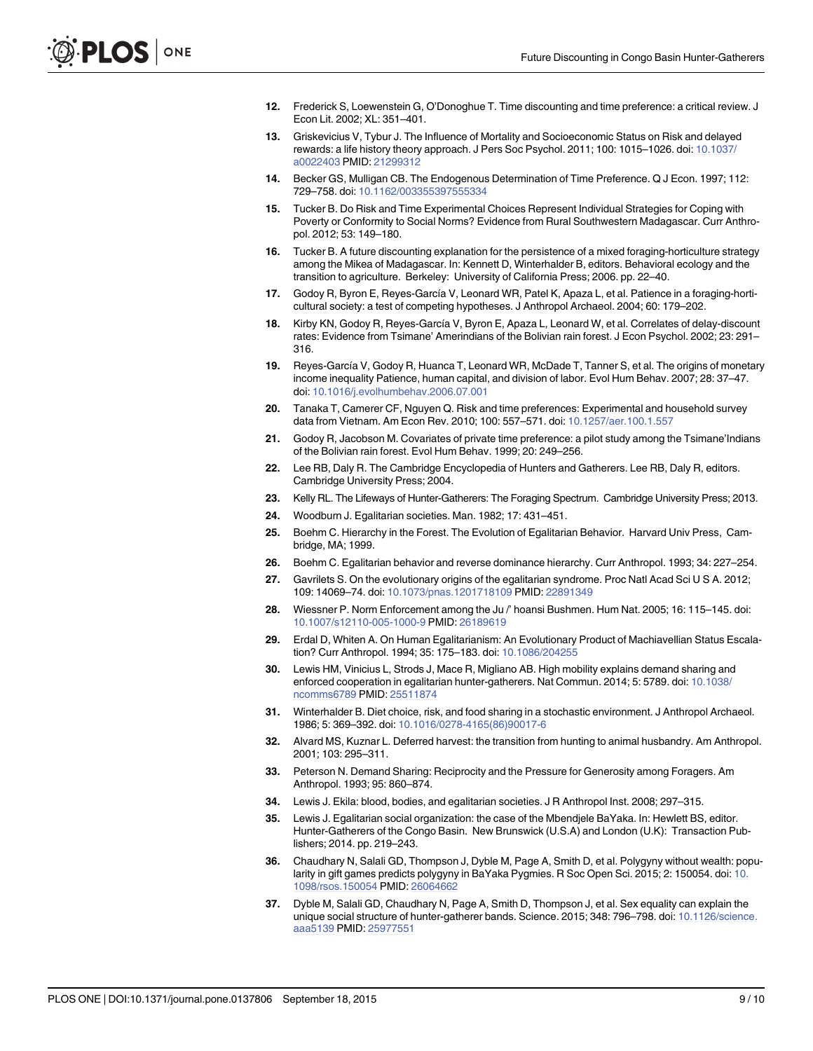- <span id="page-8-0"></span>12. Frederick S, Loewenstein G, O'Donoghue T. Time discounting and time preference: a critical review. J Econ Lit. 2002; XL: 351–401.
- 13. Griskevicius V, Tybur J. The Influence of Mortality and Socioeconomic Status on Risk and delayed rewards: a life history theory approach. J Pers Soc Psychol. 2011; 100: 1015–1026. doi: [10.1037/](http://dx.doi.org/10.1037/a0022403) [a0022403](http://dx.doi.org/10.1037/a0022403) PMID: [21299312](http://www.ncbi.nlm.nih.gov/pubmed/21299312)
- [14.](#page-1-0) Becker GS, Mulligan CB. The Endogenous Determination of Time Preference. Q J Econ. 1997; 112: 729–758. doi: [10.1162/003355397555334](http://dx.doi.org/10.1162/003355397555334)
- [15.](#page-1-0) Tucker B. Do Risk and Time Experimental Choices Represent Individual Strategies for Coping with Poverty or Conformity to Social Norms? Evidence from Rural Southwestern Madagascar. Curr Anthropol. 2012; 53: 149–180.
- 16. Tucker B. A future discounting explanation for the persistence of a mixed foraging-horticulture strategy among the Mikea of Madagascar. In: Kennett D, Winterhalder B, editors. Behavioral ecology and the transition to agriculture. Berkeley: University of California Press; 2006. pp. 22–40.
- [17.](#page-1-0) Godoy R, Byron E, Reyes-García V, Leonard WR, Patel K, Apaza L, et al. Patience in a foraging-horticultural society: a test of competing hypotheses. J Anthropol Archaeol. 2004; 60: 179–202.
- 18. Kirby KN, Godoy R, Reyes-García V, Byron E, Apaza L, Leonard W, et al. Correlates of delay-discount rates: Evidence from Tsimane' Amerindians of the Bolivian rain forest. J Econ Psychol. 2002; 23: 291– 316.
- [19.](#page-6-0) Reyes-García V, Godoy R, Huanca T, Leonard WR, McDade T, Tanner S, et al. The origins of monetary income inequality Patience, human capital, and division of labor. Evol Hum Behav. 2007; 28: 37–47. doi: [10.1016/j.evolhumbehav.2006.07.001](http://dx.doi.org/10.1016/j.evolhumbehav.2006.07.001)
- 20. Tanaka T, Camerer CF, Nguyen Q. Risk and time preferences: Experimental and household survey data from Vietnam. Am Econ Rev. 2010; 100: 557–571. doi: [10.1257/aer.100.1.557](http://dx.doi.org/10.1257/aer.100.1.557)
- [21.](#page-1-0) Godoy R, Jacobson M. Covariates of private time preference: a pilot study among the Tsimane'Indians of the Bolivian rain forest. Evol Hum Behav. 1999; 20: 249–256.
- [22.](#page-1-0) Lee RB, Daly R. The Cambridge Encyclopedia of Hunters and Gatherers. Lee RB, Daly R, editors. Cambridge University Press; 2004.
- [23.](#page-1-0) Kelly RL. The Lifeways of Hunter-Gatherers: The Foraging Spectrum. Cambridge University Press; 2013.
- [24.](#page-1-0) Woodburn J. Egalitarian societies. Man. 1982; 17: 431–451.
- [25.](#page-1-0) Boehm C. Hierarchy in the Forest. The Evolution of Egalitarian Behavior. Harvard Univ Press, Cambridge, MA; 1999.
- 26. Boehm C. Egalitarian behavior and reverse dominance hierarchy. Curr Anthropol. 1993; 34: 227–254.
- [27.](#page-1-0) Gavrilets S. On the evolutionary origins of the egalitarian syndrome. Proc Natl Acad Sci U S A. 2012; 109: 14069–74. doi: [10.1073/pnas.1201718109](http://dx.doi.org/10.1073/pnas.1201718109) PMID: [22891349](http://www.ncbi.nlm.nih.gov/pubmed/22891349)
- [28.](#page-1-0) Wiessner P. Norm Enforcement among the Ju /' hoansi Bushmen. Hum Nat. 2005; 16: 115–145. doi: [10.1007/s12110-005-1000-9](http://dx.doi.org/10.1007/s12110-005-1000-9) PMID: [26189619](http://www.ncbi.nlm.nih.gov/pubmed/26189619)
- [29.](#page-1-0) Erdal D, Whiten A. On Human Egalitarianism: An Evolutionary Product of Machiavellian Status Escalation? Curr Anthropol. 1994; 35: 175–183. doi: [10.1086/204255](http://dx.doi.org/10.1086/204255)
- [30.](#page-6-0) Lewis HM, Vinicius L, Strods J, Mace R, Migliano AB. High mobility explains demand sharing and enforced cooperation in egalitarian hunter-gatherers. Nat Commun. 2014; 5: 5789. doi: [10.1038/](http://dx.doi.org/10.1038/ncomms6789) [ncomms6789](http://dx.doi.org/10.1038/ncomms6789) PMID: [25511874](http://www.ncbi.nlm.nih.gov/pubmed/25511874)
- [31.](#page-1-0) Winterhalder B. Diet choice, risk, and food sharing in a stochastic environment. J Anthropol Archaeol. 1986; 5: 369–392. doi: [10.1016/0278-4165\(86\)90017-6](http://dx.doi.org/10.1016/0278-4165(86)90017-6)
- [32.](#page-1-0) Alvard MS, Kuznar L. Deferred harvest: the transition from hunting to animal husbandry. Am Anthropol. 2001; 103: 295–311.
- [33.](#page-1-0) Peterson N. Demand Sharing: Reciprocity and the Pressure for Generosity among Foragers. Am Anthropol. 1993; 95: 860–874.
- [34.](#page-1-0) Lewis J. Ekila: blood, bodies, and egalitarian societies. J R Anthropol Inst. 2008; 297–315.
- [35.](#page-2-0) Lewis J. Egalitarian social organization: the case of the Mbendjele BaYaka. In: Hewlett BS, editor. Hunter-Gatherers of the Congo Basin. New Brunswick (U.S.A) and London (U.K): Transaction Publishers; 2014. pp. 219–243.
- 36. Chaudhary N, Salali GD, Thompson J, Dyble M, Page A, Smith D, et al. Polygyny without wealth: popu-larity in gift games predicts polygyny in BaYaka Pygmies. R Soc Open Sci. 2015; 2: 150054. doi: [10.](http://dx.doi.org/10.1098/rsos.150054) [1098/rsos.150054](http://dx.doi.org/10.1098/rsos.150054) PMID: [26064662](http://www.ncbi.nlm.nih.gov/pubmed/26064662)
- [37.](#page-1-0) Dyble M, Salali GD, Chaudhary N, Page A, Smith D, Thompson J, et al. Sex equality can explain the unique social structure of hunter-gatherer bands. Science. 2015; 348: 796-798. doi: [10.1126/science.](http://dx.doi.org/10.1126/science.aaa5139) [aaa5139](http://dx.doi.org/10.1126/science.aaa5139) PMID: [25977551](http://www.ncbi.nlm.nih.gov/pubmed/25977551)